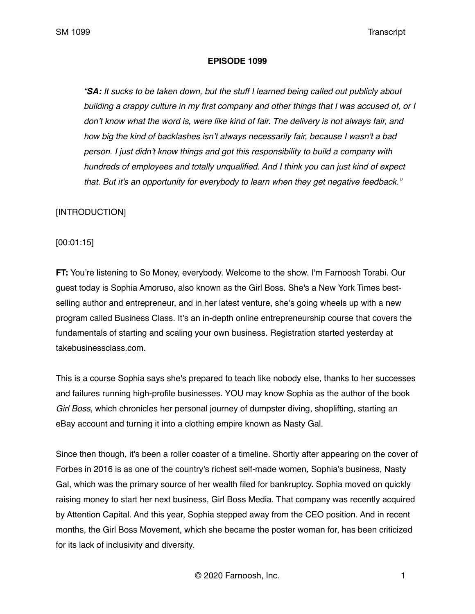### **EPISODE 1099**

*"SA: It sucks to be taken down, but the stuff I learned being called out publicly about building a crappy culture in my first company and other things that I was accused of, or I*  don't know what the word is, were like kind of fair. The delivery is not always fair, and *how big the kind of backlashes isn't always necessarily fair, because I wasn't a bad person. I just didn't know things and got this responsibility to build a company with hundreds of employees and totally unqualified. And I think you can just kind of expect that. But it's an opportunity for everybody to learn when they get negative feedback."*

## [INTRODUCTION]

[00:01:15]

**FT:** You're listening to So Money, everybody. Welcome to the show. I'm Farnoosh Torabi. Our guest today is Sophia Amoruso, also known as the Girl Boss. She's a New York Times bestselling author and entrepreneur, and in her latest venture, she's going wheels up with a new program called Business Class. It's an in-depth online entrepreneurship course that covers the fundamentals of starting and scaling your own business. Registration started yesterday at takebusinessclass.com.

This is a course Sophia says she's prepared to teach like nobody else, thanks to her successes and failures running high-profile businesses. YOU may know Sophia as the author of the book *Girl Boss*, which chronicles her personal journey of dumpster diving, shoplifting, starting an eBay account and turning it into a clothing empire known as Nasty Gal.

Since then though, it's been a roller coaster of a timeline. Shortly after appearing on the cover of Forbes in 2016 is as one of the country's richest self-made women, Sophia's business, Nasty Gal, which was the primary source of her wealth filed for bankruptcy. Sophia moved on quickly raising money to start her next business, Girl Boss Media. That company was recently acquired by Attention Capital. And this year, Sophia stepped away from the CEO position. And in recent months, the Girl Boss Movement, which she became the poster woman for, has been criticized for its lack of inclusivity and diversity.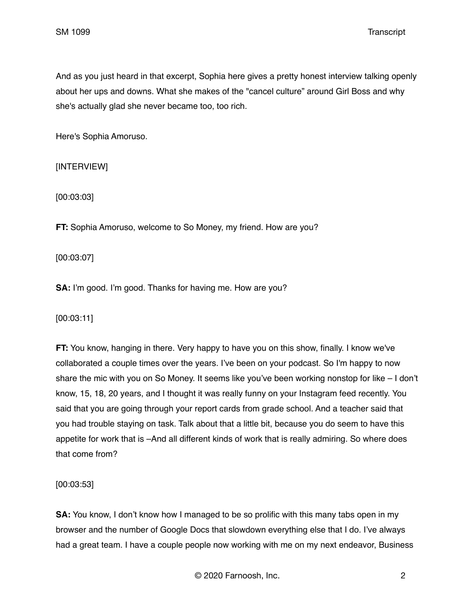And as you just heard in that excerpt, Sophia here gives a pretty honest interview talking openly about her ups and downs. What she makes of the "cancel culture" around Girl Boss and why she's actually glad she never became too, too rich.

Here's Sophia Amoruso.

# [INTERVIEW]

[00:03:03]

**FT:** Sophia Amoruso, welcome to So Money, my friend. How are you?

[00:03:07]

**SA:** I'm good. I'm good. Thanks for having me. How are you?

[00:03:11]

**FT:** You know, hanging in there. Very happy to have you on this show, finally. I know we've collaborated a couple times over the years. I've been on your podcast. So I'm happy to now share the mic with you on So Money. It seems like you've been working nonstop for like – I don't know, 15, 18, 20 years, and I thought it was really funny on your Instagram feed recently. You said that you are going through your report cards from grade school. And a teacher said that you had trouble staying on task. Talk about that a little bit, because you do seem to have this appetite for work that is –And all different kinds of work that is really admiring. So where does that come from?

[00:03:53]

**SA:** You know, I don't know how I managed to be so prolific with this many tabs open in my browser and the number of Google Docs that slowdown everything else that I do. I've always had a great team. I have a couple people now working with me on my next endeavor, Business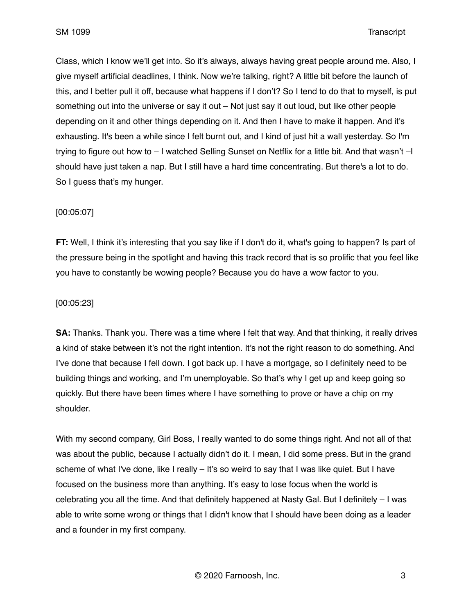Class, which I know we'll get into. So it's always, always having great people around me. Also, I give myself artificial deadlines, I think. Now we're talking, right? A little bit before the launch of this, and I better pull it off, because what happens if I don't? So I tend to do that to myself, is put something out into the universe or say it out – Not just say it out loud, but like other people depending on it and other things depending on it. And then I have to make it happen. And it's exhausting. It's been a while since I felt burnt out, and I kind of just hit a wall yesterday. So I'm trying to figure out how to – I watched Selling Sunset on Netflix for a little bit. And that wasn't –I should have just taken a nap. But I still have a hard time concentrating. But there's a lot to do. So I guess that's my hunger.

## [00:05:07]

**FT:** Well, I think it's interesting that you say like if I don't do it, what's going to happen? Is part of the pressure being in the spotlight and having this track record that is so prolific that you feel like you have to constantly be wowing people? Because you do have a wow factor to you.

## [00:05:23]

**SA:** Thanks. Thank you. There was a time where I felt that way. And that thinking, it really drives a kind of stake between it's not the right intention. It's not the right reason to do something. And I've done that because I fell down. I got back up. I have a mortgage, so I definitely need to be building things and working, and I'm unemployable. So that's why I get up and keep going so quickly. But there have been times where I have something to prove or have a chip on my shoulder.

With my second company, Girl Boss, I really wanted to do some things right. And not all of that was about the public, because I actually didn't do it. I mean, I did some press. But in the grand scheme of what I've done, like I really – It's so weird to say that I was like quiet. But I have focused on the business more than anything. It's easy to lose focus when the world is celebrating you all the time. And that definitely happened at Nasty Gal. But I definitely – I was able to write some wrong or things that I didn't know that I should have been doing as a leader and a founder in my first company.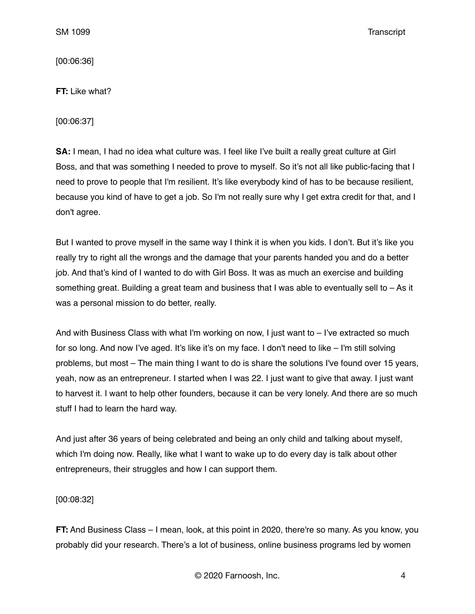[00:06:36]

**FT:** Like what?

[00:06:37]

**SA:** I mean, I had no idea what culture was. I feel like I've built a really great culture at Girl Boss, and that was something I needed to prove to myself. So it's not all like public-facing that I need to prove to people that I'm resilient. It's like everybody kind of has to be because resilient, because you kind of have to get a job. So I'm not really sure why I get extra credit for that, and I don't agree.

But I wanted to prove myself in the same way I think it is when you kids. I don't. But it's like you really try to right all the wrongs and the damage that your parents handed you and do a better job. And that's kind of I wanted to do with Girl Boss. It was as much an exercise and building something great. Building a great team and business that I was able to eventually sell to – As it was a personal mission to do better, really.

And with Business Class with what I'm working on now, I just want to  $-$  I've extracted so much for so long. And now I've aged. It's like it's on my face. I don't need to like – I'm still solving problems, but most – The main thing I want to do is share the solutions I've found over 15 years, yeah, now as an entrepreneur. I started when I was 22. I just want to give that away. I just want to harvest it. I want to help other founders, because it can be very lonely. And there are so much stuff I had to learn the hard way.

And just after 36 years of being celebrated and being an only child and talking about myself, which I'm doing now. Really, like what I want to wake up to do every day is talk about other entrepreneurs, their struggles and how I can support them.

[00:08:32]

**FT:** And Business Class – I mean, look, at this point in 2020, there're so many. As you know, you probably did your research. There's a lot of business, online business programs led by women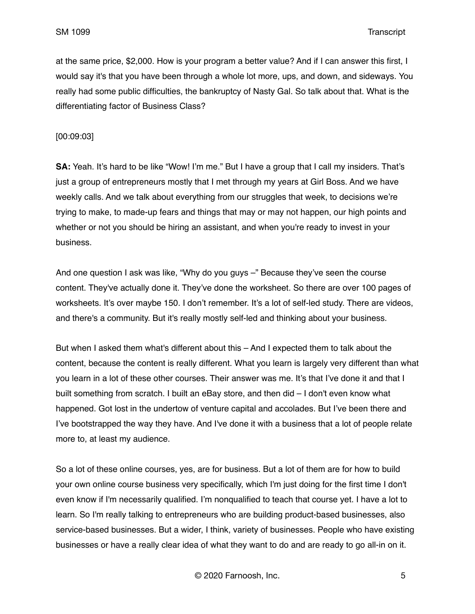at the same price, \$2,000. How is your program a better value? And if I can answer this first, I would say it's that you have been through a whole lot more, ups, and down, and sideways. You really had some public difficulties, the bankruptcy of Nasty Gal. So talk about that. What is the differentiating factor of Business Class?

[00:09:03]

**SA:** Yeah. It's hard to be like "Wow! I'm me." But I have a group that I call my insiders. That's just a group of entrepreneurs mostly that I met through my years at Girl Boss. And we have weekly calls. And we talk about everything from our struggles that week, to decisions we're trying to make, to made-up fears and things that may or may not happen, our high points and whether or not you should be hiring an assistant, and when you're ready to invest in your business.

And one question I ask was like, "Why do you guys –" Because they've seen the course content. They've actually done it. They've done the worksheet. So there are over 100 pages of worksheets. It's over maybe 150. I don't remember. It's a lot of self-led study. There are videos, and there's a community. But it's really mostly self-led and thinking about your business.

But when I asked them what's different about this – And I expected them to talk about the content, because the content is really different. What you learn is largely very different than what you learn in a lot of these other courses. Their answer was me. It's that I've done it and that I built something from scratch. I built an eBay store, and then did – I don't even know what happened. Got lost in the undertow of venture capital and accolades. But I've been there and I've bootstrapped the way they have. And I've done it with a business that a lot of people relate more to, at least my audience.

So a lot of these online courses, yes, are for business. But a lot of them are for how to build your own online course business very specifically, which I'm just doing for the first time I don't even know if I'm necessarily qualified. I'm nonqualified to teach that course yet. I have a lot to learn. So I'm really talking to entrepreneurs who are building product-based businesses, also service-based businesses. But a wider, I think, variety of businesses. People who have existing businesses or have a really clear idea of what they want to do and are ready to go all-in on it.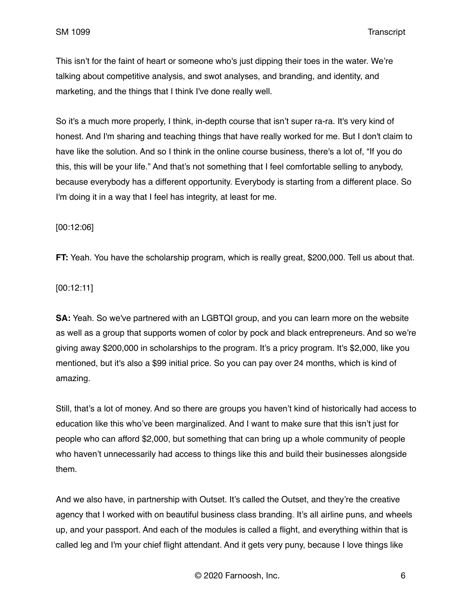This isn't for the faint of heart or someone who's just dipping their toes in the water. We're talking about competitive analysis, and swot analyses, and branding, and identity, and marketing, and the things that I think I've done really well.

So it's a much more properly, I think, in-depth course that isn't super ra-ra. It's very kind of honest. And I'm sharing and teaching things that have really worked for me. But I don't claim to have like the solution. And so I think in the online course business, there's a lot of, "If you do this, this will be your life." And that's not something that I feel comfortable selling to anybody, because everybody has a different opportunity. Everybody is starting from a different place. So I'm doing it in a way that I feel has integrity, at least for me.

[00:12:06]

**FT:** Yeah. You have the scholarship program, which is really great, \$200,000. Tell us about that.

[00:12:11]

**SA:** Yeah. So we've partnered with an LGBTQI group, and you can learn more on the website as well as a group that supports women of color by pock and black entrepreneurs. And so we're giving away \$200,000 in scholarships to the program. It's a pricy program. It's \$2,000, like you mentioned, but it's also a \$99 initial price. So you can pay over 24 months, which is kind of amazing.

Still, that's a lot of money. And so there are groups you haven't kind of historically had access to education like this who've been marginalized. And I want to make sure that this isn't just for people who can afford \$2,000, but something that can bring up a whole community of people who haven't unnecessarily had access to things like this and build their businesses alongside them.

And we also have, in partnership with Outset. It's called the Outset, and they're the creative agency that I worked with on beautiful business class branding. It's all airline puns, and wheels up, and your passport. And each of the modules is called a flight, and everything within that is called leg and I'm your chief flight attendant. And it gets very puny, because I love things like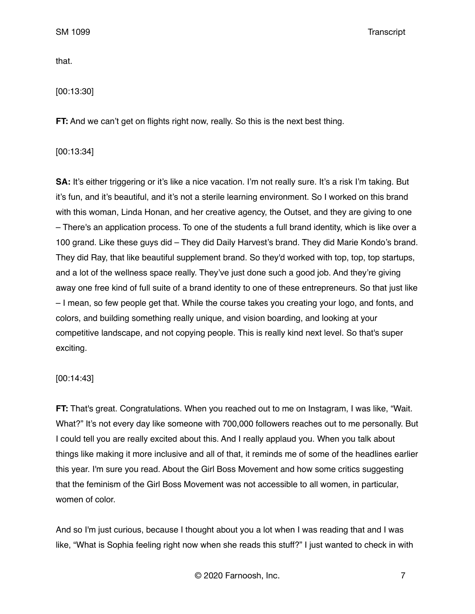that.

[00:13:30]

**FT:** And we can't get on flights right now, really. So this is the next best thing.

[00:13:34]

**SA:** It's either triggering or it's like a nice vacation. I'm not really sure. It's a risk I'm taking. But it's fun, and it's beautiful, and it's not a sterile learning environment. So I worked on this brand with this woman, Linda Honan, and her creative agency, the Outset, and they are giving to one – There's an application process. To one of the students a full brand identity, which is like over a 100 grand. Like these guys did – They did Daily Harvest's brand. They did Marie Kondo's brand. They did Ray, that like beautiful supplement brand. So they'd worked with top, top, top startups, and a lot of the wellness space really. They've just done such a good job. And they're giving away one free kind of full suite of a brand identity to one of these entrepreneurs. So that just like – I mean, so few people get that. While the course takes you creating your logo, and fonts, and colors, and building something really unique, and vision boarding, and looking at your competitive landscape, and not copying people. This is really kind next level. So that's super exciting.

### [00:14:43]

**FT:** That's great. Congratulations. When you reached out to me on Instagram, I was like, "Wait. What?" It's not every day like someone with 700,000 followers reaches out to me personally. But I could tell you are really excited about this. And I really applaud you. When you talk about things like making it more inclusive and all of that, it reminds me of some of the headlines earlier this year. I'm sure you read. About the Girl Boss Movement and how some critics suggesting that the feminism of the Girl Boss Movement was not accessible to all women, in particular, women of color.

And so I'm just curious, because I thought about you a lot when I was reading that and I was like, "What is Sophia feeling right now when she reads this stuff?" I just wanted to check in with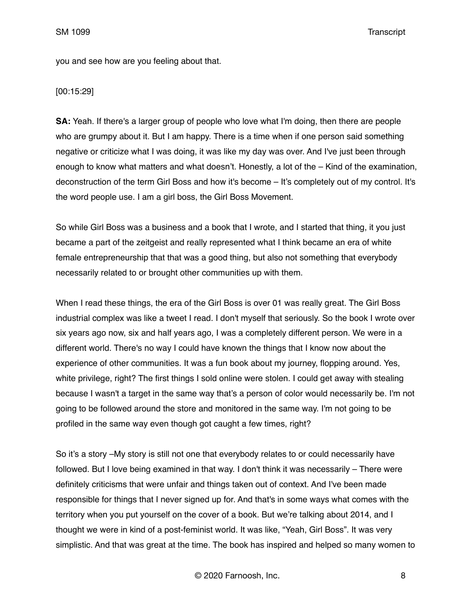you and see how are you feeling about that.

[00:15:29]

**SA:** Yeah. If there's a larger group of people who love what I'm doing, then there are people who are grumpy about it. But I am happy. There is a time when if one person said something negative or criticize what I was doing, it was like my day was over. And I've just been through enough to know what matters and what doesn't. Honestly, a lot of the – Kind of the examination, deconstruction of the term Girl Boss and how it's become – It's completely out of my control. It's the word people use. I am a girl boss, the Girl Boss Movement.

So while Girl Boss was a business and a book that I wrote, and I started that thing, it you just became a part of the zeitgeist and really represented what I think became an era of white female entrepreneurship that that was a good thing, but also not something that everybody necessarily related to or brought other communities up with them.

When I read these things, the era of the Girl Boss is over 01 was really great. The Girl Boss industrial complex was like a tweet I read. I don't myself that seriously. So the book I wrote over six years ago now, six and half years ago, I was a completely different person. We were in a different world. There's no way I could have known the things that I know now about the experience of other communities. It was a fun book about my journey, flopping around. Yes, white privilege, right? The first things I sold online were stolen. I could get away with stealing because I wasn't a target in the same way that's a person of color would necessarily be. I'm not going to be followed around the store and monitored in the same way. I'm not going to be profiled in the same way even though got caught a few times, right?

So it's a story –My story is still not one that everybody relates to or could necessarily have followed. But I love being examined in that way. I don't think it was necessarily – There were definitely criticisms that were unfair and things taken out of context. And I've been made responsible for things that I never signed up for. And that's in some ways what comes with the territory when you put yourself on the cover of a book. But we're talking about 2014, and I thought we were in kind of a post-feminist world. It was like, "Yeah, Girl Boss". It was very simplistic. And that was great at the time. The book has inspired and helped so many women to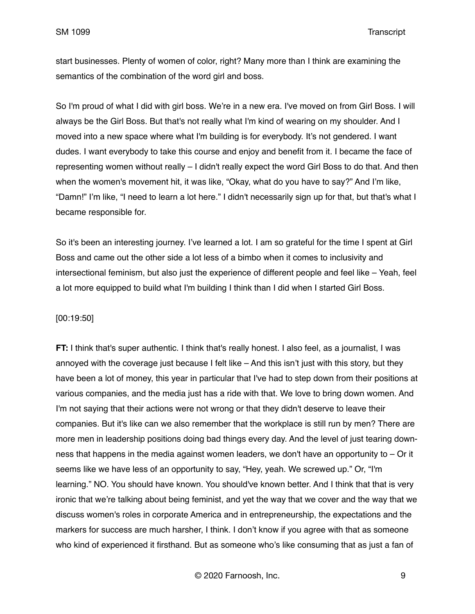start businesses. Plenty of women of color, right? Many more than I think are examining the semantics of the combination of the word girl and boss.

So I'm proud of what I did with girl boss. We're in a new era. I've moved on from Girl Boss. I will always be the Girl Boss. But that's not really what I'm kind of wearing on my shoulder. And I moved into a new space where what I'm building is for everybody. It's not gendered. I want dudes. I want everybody to take this course and enjoy and benefit from it. I became the face of representing women without really – I didn't really expect the word Girl Boss to do that. And then when the women's movement hit, it was like, "Okay, what do you have to say?" And I'm like, "Damn!" I'm like, "I need to learn a lot here." I didn't necessarily sign up for that, but that's what I became responsible for.

So it's been an interesting journey. I've learned a lot. I am so grateful for the time I spent at Girl Boss and came out the other side a lot less of a bimbo when it comes to inclusivity and intersectional feminism, but also just the experience of different people and feel like – Yeah, feel a lot more equipped to build what I'm building I think than I did when I started Girl Boss.

#### [00:19:50]

**FT:** I think that's super authentic. I think that's really honest. I also feel, as a journalist, I was annoyed with the coverage just because I felt like – And this isn't just with this story, but they have been a lot of money, this year in particular that I've had to step down from their positions at various companies, and the media just has a ride with that. We love to bring down women. And I'm not saying that their actions were not wrong or that they didn't deserve to leave their companies. But it's like can we also remember that the workplace is still run by men? There are more men in leadership positions doing bad things every day. And the level of just tearing downness that happens in the media against women leaders, we don't have an opportunity to – Or it seems like we have less of an opportunity to say, "Hey, yeah. We screwed up." Or, "I'm learning." NO. You should have known. You should've known better. And I think that that is very ironic that we're talking about being feminist, and yet the way that we cover and the way that we discuss women's roles in corporate America and in entrepreneurship, the expectations and the markers for success are much harsher, I think. I don't know if you agree with that as someone who kind of experienced it firsthand. But as someone who's like consuming that as just a fan of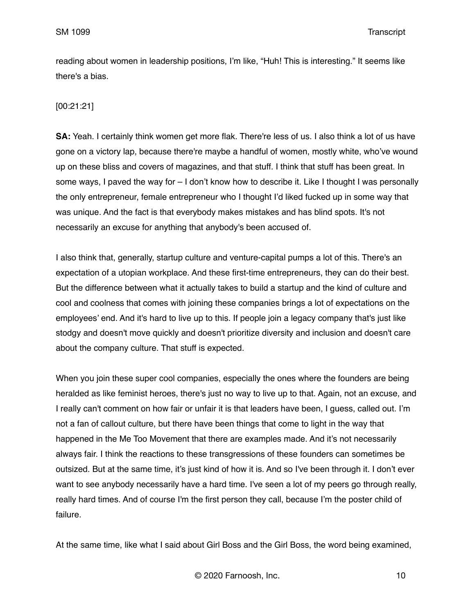reading about women in leadership positions, I'm like, "Huh! This is interesting." It seems like there's a bias.

# [00:21:21]

**SA:** Yeah. I certainly think women get more flak. There're less of us. I also think a lot of us have gone on a victory lap, because there're maybe a handful of women, mostly white, who've wound up on these bliss and covers of magazines, and that stuff. I think that stuff has been great. In some ways, I paved the way for – I don't know how to describe it. Like I thought I was personally the only entrepreneur, female entrepreneur who I thought I'd liked fucked up in some way that was unique. And the fact is that everybody makes mistakes and has blind spots. It's not necessarily an excuse for anything that anybody's been accused of.

I also think that, generally, startup culture and venture-capital pumps a lot of this. There's an expectation of a utopian workplace. And these first-time entrepreneurs, they can do their best. But the difference between what it actually takes to build a startup and the kind of culture and cool and coolness that comes with joining these companies brings a lot of expectations on the employees' end. And it's hard to live up to this. If people join a legacy company that's just like stodgy and doesn't move quickly and doesn't prioritize diversity and inclusion and doesn't care about the company culture. That stuff is expected.

When you join these super cool companies, especially the ones where the founders are being heralded as like feminist heroes, there's just no way to live up to that. Again, not an excuse, and I really can't comment on how fair or unfair it is that leaders have been, I guess, called out. I'm not a fan of callout culture, but there have been things that come to light in the way that happened in the Me Too Movement that there are examples made. And it's not necessarily always fair. I think the reactions to these transgressions of these founders can sometimes be outsized. But at the same time, it's just kind of how it is. And so I've been through it. I don't ever want to see anybody necessarily have a hard time. I've seen a lot of my peers go through really, really hard times. And of course I'm the first person they call, because I'm the poster child of failure.

At the same time, like what I said about Girl Boss and the Girl Boss, the word being examined,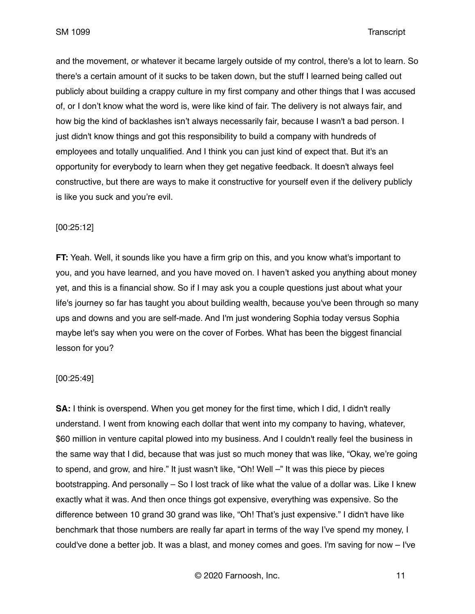and the movement, or whatever it became largely outside of my control, there's a lot to learn. So there's a certain amount of it sucks to be taken down, but the stuff I learned being called out publicly about building a crappy culture in my first company and other things that I was accused of, or I don't know what the word is, were like kind of fair. The delivery is not always fair, and how big the kind of backlashes isn't always necessarily fair, because I wasn't a bad person. I just didn't know things and got this responsibility to build a company with hundreds of employees and totally unqualified. And I think you can just kind of expect that. But it's an opportunity for everybody to learn when they get negative feedback. It doesn't always feel constructive, but there are ways to make it constructive for yourself even if the delivery publicly is like you suck and you're evil.

### [00:25:12]

**FT:** Yeah. Well, it sounds like you have a firm grip on this, and you know what's important to you, and you have learned, and you have moved on. I haven't asked you anything about money yet, and this is a financial show. So if I may ask you a couple questions just about what your life's journey so far has taught you about building wealth, because you've been through so many ups and downs and you are self-made. And I'm just wondering Sophia today versus Sophia maybe let's say when you were on the cover of Forbes. What has been the biggest financial lesson for you?

### [00:25:49]

**SA:** I think is overspend. When you get money for the first time, which I did, I didn't really understand. I went from knowing each dollar that went into my company to having, whatever, \$60 million in venture capital plowed into my business. And I couldn't really feel the business in the same way that I did, because that was just so much money that was like, "Okay, we're going to spend, and grow, and hire." It just wasn't like, "Oh! Well –" It was this piece by pieces bootstrapping. And personally – So I lost track of like what the value of a dollar was. Like I knew exactly what it was. And then once things got expensive, everything was expensive. So the difference between 10 grand 30 grand was like, "Oh! That's just expensive." I didn't have like benchmark that those numbers are really far apart in terms of the way I've spend my money, I could've done a better job. It was a blast, and money comes and goes. I'm saving for now – I've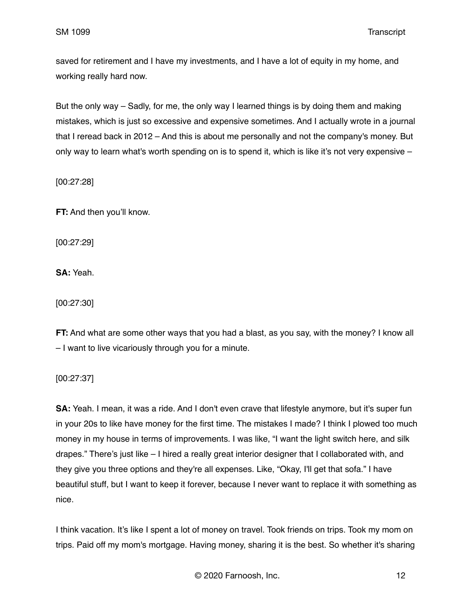saved for retirement and I have my investments, and I have a lot of equity in my home, and working really hard now.

But the only way – Sadly, for me, the only way I learned things is by doing them and making mistakes, which is just so excessive and expensive sometimes. And I actually wrote in a journal that I reread back in 2012 – And this is about me personally and not the company's money. But only way to learn what's worth spending on is to spend it, which is like it's not very expensive –

[00:27:28]

**FT:** And then you'll know.

[00:27:29]

**SA:** Yeah.

[00:27:30]

**FT:** And what are some other ways that you had a blast, as you say, with the money? I know all – I want to live vicariously through you for a minute.

[00:27:37]

**SA:** Yeah. I mean, it was a ride. And I don't even crave that lifestyle anymore, but it's super fun in your 20s to like have money for the first time. The mistakes I made? I think I plowed too much money in my house in terms of improvements. I was like, "I want the light switch here, and silk drapes." There's just like – I hired a really great interior designer that I collaborated with, and they give you three options and they're all expenses. Like, "Okay, I'll get that sofa." I have beautiful stuff, but I want to keep it forever, because I never want to replace it with something as nice.

I think vacation. It's like I spent a lot of money on travel. Took friends on trips. Took my mom on trips. Paid off my mom's mortgage. Having money, sharing it is the best. So whether it's sharing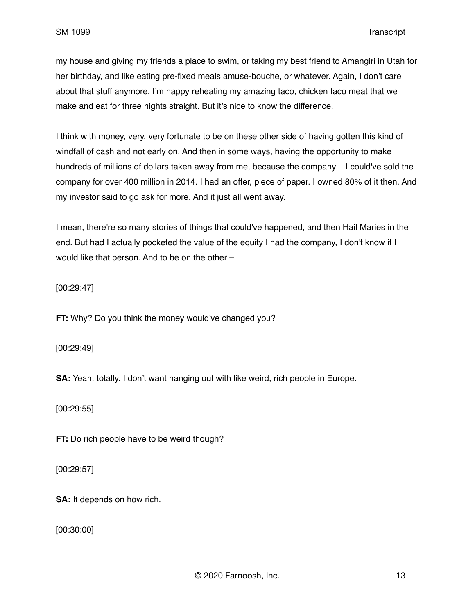my house and giving my friends a place to swim, or taking my best friend to Amangiri in Utah for her birthday, and like eating pre-fixed meals amuse-bouche, or whatever. Again, I don't care about that stuff anymore. I'm happy reheating my amazing taco, chicken taco meat that we make and eat for three nights straight. But it's nice to know the difference.

I think with money, very, very fortunate to be on these other side of having gotten this kind of windfall of cash and not early on. And then in some ways, having the opportunity to make hundreds of millions of dollars taken away from me, because the company – I could've sold the company for over 400 million in 2014. I had an offer, piece of paper. I owned 80% of it then. And my investor said to go ask for more. And it just all went away.

I mean, there're so many stories of things that could've happened, and then Hail Maries in the end. But had I actually pocketed the value of the equity I had the company, I don't know if I would like that person. And to be on the other –

[00:29:47]

**FT:** Why? Do you think the money would've changed you?

[00:29:49]

**SA:** Yeah, totally. I don't want hanging out with like weird, rich people in Europe.

[00:29:55]

**FT:** Do rich people have to be weird though?

[00:29:57]

**SA:** It depends on how rich.

[00:30:00]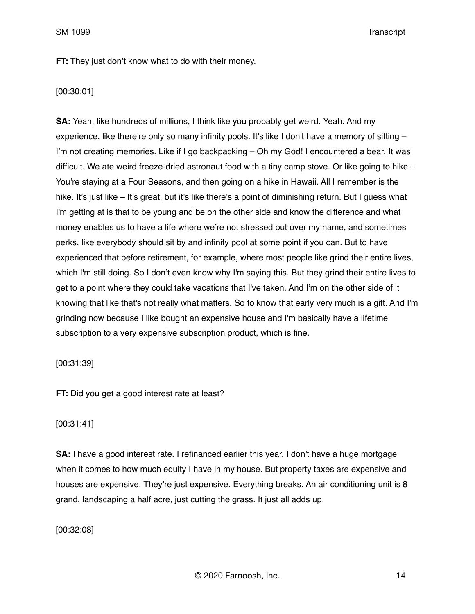**FT:** They just don't know what to do with their money.

# [00:30:01]

**SA:** Yeah, like hundreds of millions, I think like you probably get weird. Yeah. And my experience, like there're only so many infinity pools. It's like I don't have a memory of sitting -I'm not creating memories. Like if I go backpacking – Oh my God! I encountered a bear. It was difficult. We ate weird freeze-dried astronaut food with a tiny camp stove. Or like going to hike – You're staying at a Four Seasons, and then going on a hike in Hawaii. All I remember is the hike. It's just like – It's great, but it's like there's a point of diminishing return. But I guess what I'm getting at is that to be young and be on the other side and know the difference and what money enables us to have a life where we're not stressed out over my name, and sometimes perks, like everybody should sit by and infinity pool at some point if you can. But to have experienced that before retirement, for example, where most people like grind their entire lives, which I'm still doing. So I don't even know why I'm saying this. But they grind their entire lives to get to a point where they could take vacations that I've taken. And I'm on the other side of it knowing that like that's not really what matters. So to know that early very much is a gift. And I'm grinding now because I like bought an expensive house and I'm basically have a lifetime subscription to a very expensive subscription product, which is fine.

[00:31:39]

**FT:** Did you get a good interest rate at least?

### [00:31:41]

**SA:** I have a good interest rate. I refinanced earlier this year. I don't have a huge mortgage when it comes to how much equity I have in my house. But property taxes are expensive and houses are expensive. They're just expensive. Everything breaks. An air conditioning unit is 8 grand, landscaping a half acre, just cutting the grass. It just all adds up.

[00:32:08]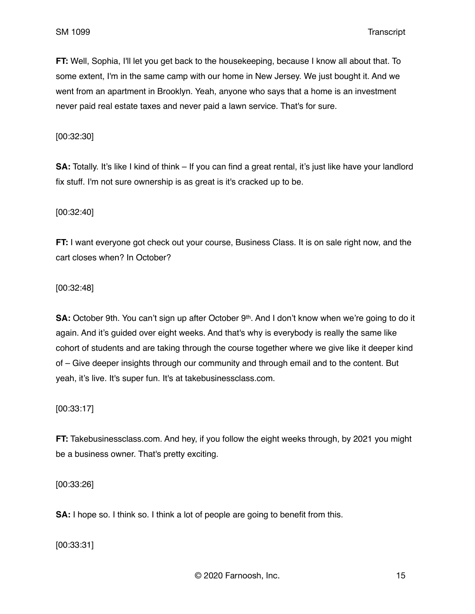**FT:** Well, Sophia, I'll let you get back to the housekeeping, because I know all about that. To some extent, I'm in the same camp with our home in New Jersey. We just bought it. And we went from an apartment in Brooklyn. Yeah, anyone who says that a home is an investment never paid real estate taxes and never paid a lawn service. That's for sure.

[00:32:30]

**SA:** Totally. It's like I kind of think – If you can find a great rental, it's just like have your landlord fix stuff. I'm not sure ownership is as great is it's cracked up to be.

[00:32:40]

**FT:** I want everyone got check out your course, Business Class. It is on sale right now, and the cart closes when? In October?

[00:32:48]

**SA:** October 9th. You can't sign up after October 9<sup>th</sup>. And I don't know when we're going to do it again. And it's guided over eight weeks. And that's why is everybody is really the same like cohort of students and are taking through the course together where we give like it deeper kind of – Give deeper insights through our community and through email and to the content. But yeah, it's live. It's super fun. It's at takebusinessclass.com.

[00:33:17]

**FT:** Takebusinessclass.com. And hey, if you follow the eight weeks through, by 2021 you might be a business owner. That's pretty exciting.

[00:33:26]

**SA:** I hope so. I think so. I think a lot of people are going to benefit from this.

[00:33:31]